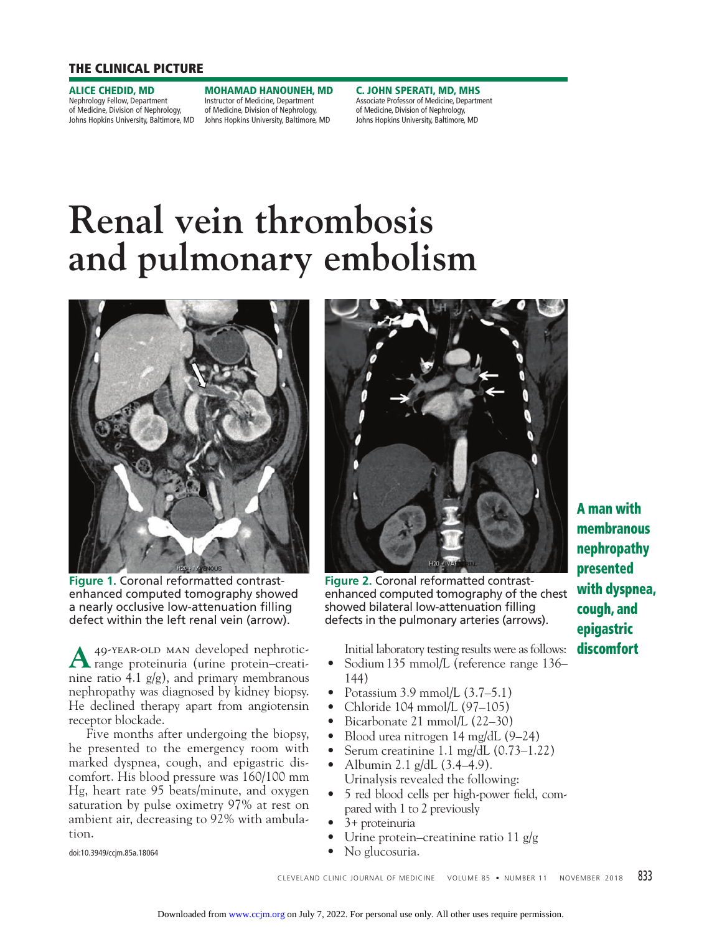## **THE CLINICAL PICTURE**

**ALICE CHEDID, MD**

Nephrology Fellow, Department of Medicine, Division of Nephrology,

Johns Hopkins University, Baltimore, MD Johns Hopkins University, Baltimore, MD **MOHAMAD HANOUNEH, MD** Instructor of Medicine, Department of Medicine, Division of Nephrology,

**C. JOHN SPERATI, MD, MHS** Associate Professor of Medicine, Department of Medicine, Division of Nephrology, Johns Hopkins University, Baltimore, MD

# **Renal vein thrombosis and pulmonary embolism**



**Figure 1.** Coronal reformatted contrastenhanced computed tomography showed a nearly occlusive low-attenuation filling defect within the left renal vein (arrow).

A 49-YEAR-OLD MAN developed nephrotic-<br> **A** range proteinuria (urine protein–creatinine ratio 4.1  $g/g$ ), and primary membranous nephropathy was diagnosed by kidney biopsy. He declined therapy apart from angiotensin receptor blockade.

 Five months after undergoing the biopsy, he presented to the emergency room with marked dyspnea, cough, and epigastric discomfort. His blood pressure was 160/100 mm Hg, heart rate 95 beats/minute, and oxygen saturation by pulse oximetry 97% at rest on ambient air, decreasing to 92% with ambulation.

doi:10.3949/ccjm.85a.18064



**Figure 2.** Coronal reformatted contrastenhanced computed tomography of the chest showed bilateral low-attenuation filling defects in the pulmonary arteries (arrows).

Initial laboratory testing results were as follows:

- Sodium 135 mmol/L (reference range 136– 144)
- Potassium 3.9 mmol/L (3.7–5.1)
- Chloride 104 mmol/L (97–105)
- Bicarbonate 21 mmol/L (22–30)
- Blood urea nitrogen 14 mg/dL (9–24)
- Serum creatinine 1.1 mg/dL (0.73–1.22)
- Albumin 2.1 g/dL  $(3.4–4.9)$ . Urinalysis revealed the following:
- 5 red blood cells per high-power field, compared with 1 to 2 previously

CLEVELAND CLINIC JOURNAL OF MEDICINE VOLUME 85 • NUMBER 11 NOVEMBER 2018 833

- 3+ proteinuria
- Urine protein–creatinine ratio 11 g/g
- No glucosuria.

**A man with membranous nephropathy presented with dyspnea, cough, and epigastric discomfort**